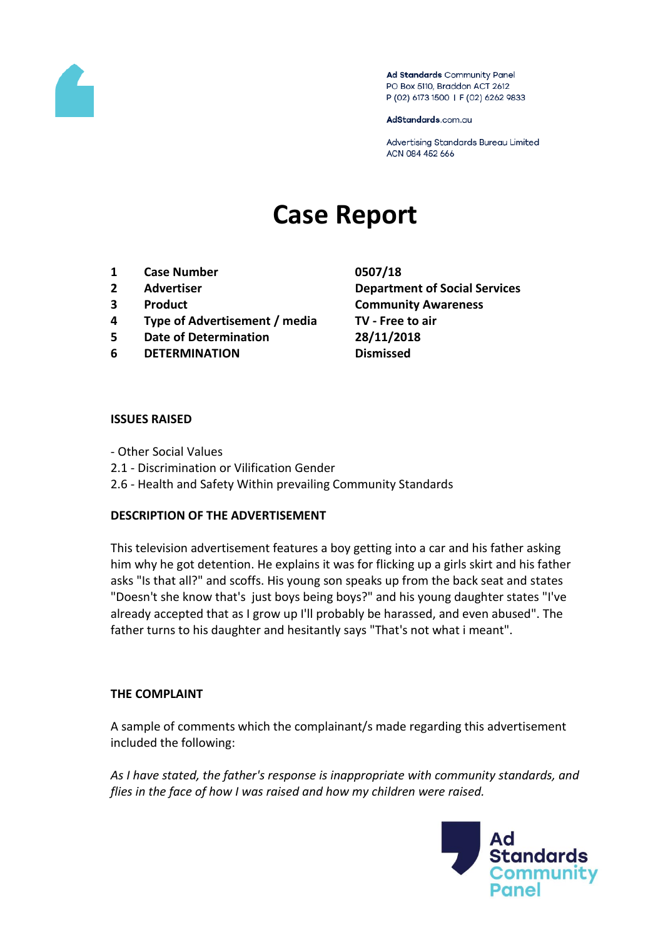

Ad Standards Community Panel PO Box 5110, Braddon ACT 2612 P (02) 6173 1500 | F (02) 6262 9833

AdStandards.com.au

Advertising Standards Bureau Limited ACN 084 452 666

# **Case Report**

- **1 Case Number 0507/18**
- 
- 
- **4 Type of Advertisement / media TV - Free to air**
- **5 Date of Determination 28/11/2018**
- **6 DETERMINATION Dismissed**

**2 Advertiser Department of Social Services 3 Product Community Awareness**

#### **ISSUES RAISED**

- Other Social Values
- 2.1 Discrimination or Vilification Gender
- 2.6 Health and Safety Within prevailing Community Standards

### **DESCRIPTION OF THE ADVERTISEMENT**

This television advertisement features a boy getting into a car and his father asking him why he got detention. He explains it was for flicking up a girls skirt and his father asks "Is that all?" and scoffs. His young son speaks up from the back seat and states "Doesn't she know that's just boys being boys?" and his young daughter states "I've already accepted that as I grow up I'll probably be harassed, and even abused". The father turns to his daughter and hesitantly says "That's not what i meant".

### **THE COMPLAINT**

A sample of comments which the complainant/s made regarding this advertisement included the following:

*As I have stated, the father's response is inappropriate with community standards, and flies in the face of how I was raised and how my children were raised.*

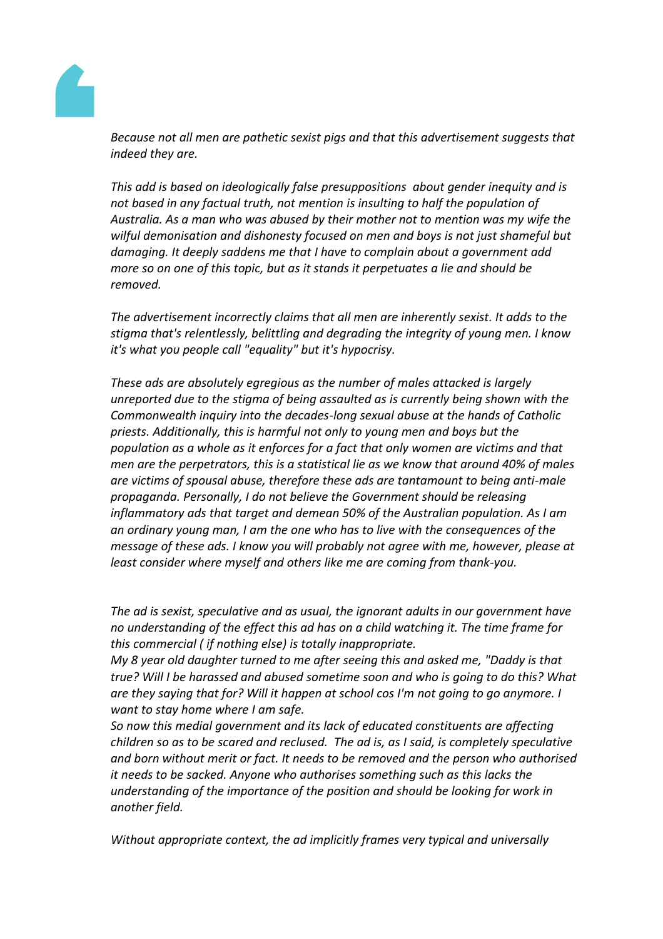

*Because not all men are pathetic sexist pigs and that this advertisement suggests that indeed they are.*

*This add is based on ideologically false presuppositions about gender inequity and is not based in any factual truth, not mention is insulting to half the population of Australia. As a man who was abused by their mother not to mention was my wife the wilful demonisation and dishonesty focused on men and boys is not just shameful but damaging. It deeply saddens me that I have to complain about a government add more so on one of this topic, but as it stands it perpetuates a lie and should be removed.*

*The advertisement incorrectly claims that all men are inherently sexist. It adds to the stigma that's relentlessly, belittling and degrading the integrity of young men. I know it's what you people call "equality" but it's hypocrisy.*

*These ads are absolutely egregious as the number of males attacked is largely unreported due to the stigma of being assaulted as is currently being shown with the Commonwealth inquiry into the decades-long sexual abuse at the hands of Catholic priests. Additionally, this is harmful not only to young men and boys but the population as a whole as it enforces for a fact that only women are victims and that men are the perpetrators, this is a statistical lie as we know that around 40% of males are victims of spousal abuse, therefore these ads are tantamount to being anti-male propaganda. Personally, I do not believe the Government should be releasing inflammatory ads that target and demean 50% of the Australian population. As I am an ordinary young man, I am the one who has to live with the consequences of the message of these ads. I know you will probably not agree with me, however, please at least consider where myself and others like me are coming from thank-you.*

*The ad is sexist, speculative and as usual, the ignorant adults in our government have no understanding of the effect this ad has on a child watching it. The time frame for this commercial ( if nothing else) is totally inappropriate.*

*My 8 year old daughter turned to me after seeing this and asked me, "Daddy is that true? Will I be harassed and abused sometime soon and who is going to do this? What are they saying that for? Will it happen at school cos I'm not going to go anymore. I want to stay home where I am safe.*

*So now this medial government and its lack of educated constituents are affecting children so as to be scared and reclused. The ad is, as I said, is completely speculative and born without merit or fact. It needs to be removed and the person who authorised it needs to be sacked. Anyone who authorises something such as this lacks the understanding of the importance of the position and should be looking for work in another field.*

*Without appropriate context, the ad implicitly frames very typical and universally*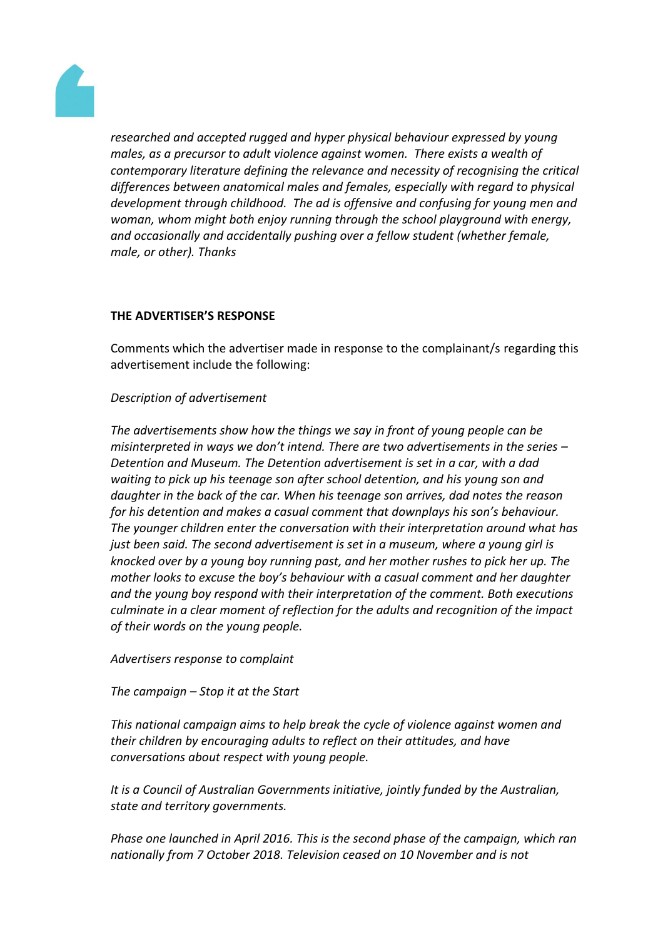

*researched and accepted rugged and hyper physical behaviour expressed by young males, as a precursor to adult violence against women. There exists a wealth of contemporary literature defining the relevance and necessity of recognising the critical differences between anatomical males and females, especially with regard to physical development through childhood. The ad is offensive and confusing for young men and woman, whom might both enjoy running through the school playground with energy, and occasionally and accidentally pushing over a fellow student (whether female, male, or other). Thanks*

# **THE ADVERTISER'S RESPONSE**

Comments which the advertiser made in response to the complainant/s regarding this advertisement include the following:

## *Description of advertisement*

*The advertisements show how the things we say in front of young people can be misinterpreted in ways we don't intend. There are two advertisements in the series – Detention and Museum. The Detention advertisement is set in a car, with a dad waiting to pick up his teenage son after school detention, and his young son and daughter in the back of the car. When his teenage son arrives, dad notes the reason for his detention and makes a casual comment that downplays his son's behaviour. The younger children enter the conversation with their interpretation around what has just been said. The second advertisement is set in a museum, where a young girl is knocked over by a young boy running past, and her mother rushes to pick her up. The mother looks to excuse the boy's behaviour with a casual comment and her daughter and the young boy respond with their interpretation of the comment. Both executions culminate in a clear moment of reflection for the adults and recognition of the impact of their words on the young people.*

*Advertisers response to complaint*

*The campaign – Stop it at the Start*

*This national campaign aims to help break the cycle of violence against women and their children by encouraging adults to reflect on their attitudes, and have conversations about respect with young people.*

*It is a Council of Australian Governments initiative, jointly funded by the Australian, state and territory governments.*

*Phase one launched in April 2016. This is the second phase of the campaign, which ran nationally from 7 October 2018. Television ceased on 10 November and is not*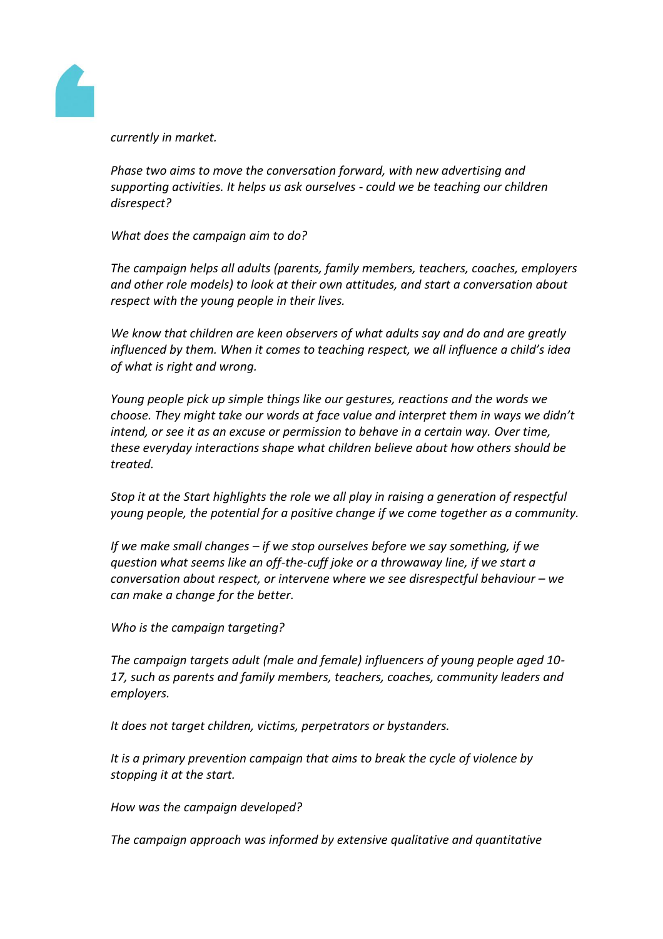

*currently in market.*

*Phase two aims to move the conversation forward, with new advertising and supporting activities. It helps us ask ourselves - could we be teaching our children disrespect?*

*What does the campaign aim to do?*

*The campaign helps all adults (parents, family members, teachers, coaches, employers and other role models) to look at their own attitudes, and start a conversation about respect with the young people in their lives.*

*We know that children are keen observers of what adults say and do and are greatly influenced by them. When it comes to teaching respect, we all influence a child's idea of what is right and wrong.*

*Young people pick up simple things like our gestures, reactions and the words we choose. They might take our words at face value and interpret them in ways we didn't intend, or see it as an excuse or permission to behave in a certain way. Over time, these everyday interactions shape what children believe about how others should be treated.*

*Stop it at the Start highlights the role we all play in raising a generation of respectful young people, the potential for a positive change if we come together as a community.*

*If we make small changes – if we stop ourselves before we say something, if we question what seems like an off-the-cuff joke or a throwaway line, if we start a conversation about respect, or intervene where we see disrespectful behaviour – we can make a change for the better.*

*Who is the campaign targeting?*

*The campaign targets adult (male and female) influencers of young people aged 10- 17, such as parents and family members, teachers, coaches, community leaders and employers.*

*It does not target children, victims, perpetrators or bystanders.*

*It is a primary prevention campaign that aims to break the cycle of violence by stopping it at the start.*

*How was the campaign developed?*

*The campaign approach was informed by extensive qualitative and quantitative*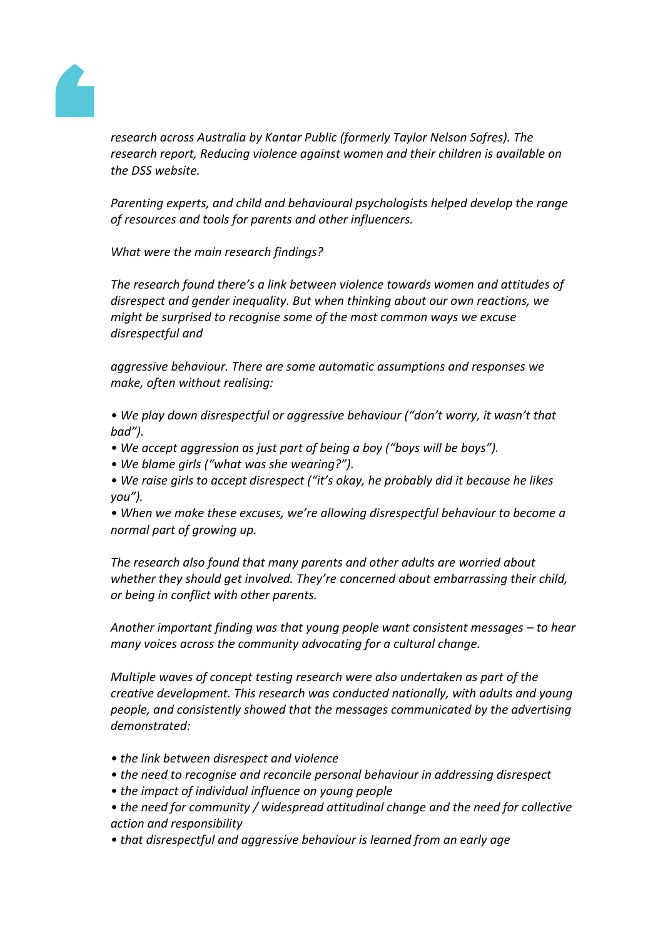

*research across Australia by Kantar Public (formerly Taylor Nelson Sofres). The research report, Reducing violence against women and their children is available on the DSS website.*

*Parenting experts, and child and behavioural psychologists helped develop the range of resources and tools for parents and other influencers.*

*What were the main research findings?*

*The research found there's a link between violence towards women and attitudes of disrespect and gender inequality. But when thinking about our own reactions, we might be surprised to recognise some of the most common ways we excuse disrespectful and*

*aggressive behaviour. There are some automatic assumptions and responses we make, often without realising:*

*• We play down disrespectful or aggressive behaviour ("don't worry, it wasn't that bad").*

- *We accept aggression as just part of being a boy ("boys will be boys").*
- *We blame girls ("what was she wearing?").*
- *We raise girls to accept disrespect ("it's okay, he probably did it because he likes you").*

*• When we make these excuses, we're allowing disrespectful behaviour to become a normal part of growing up.*

*The research also found that many parents and other adults are worried about whether they should get involved. They're concerned about embarrassing their child, or being in conflict with other parents.*

Another important finding was that young people want consistent messages – to hear *many voices across the community advocating for a cultural change.*

*Multiple waves of concept testing research were also undertaken as part of the creative development. This research was conducted nationally, with adults and young people, and consistently showed that the messages communicated by the advertising demonstrated:*

- *the link between disrespect and violence*
- *the need to recognise and reconcile personal behaviour in addressing disrespect*
- *the impact of individual influence on young people*
- *the need for community / widespread attitudinal change and the need for collective action and responsibility*
- *that disrespectful and aggressive behaviour is learned from an early age*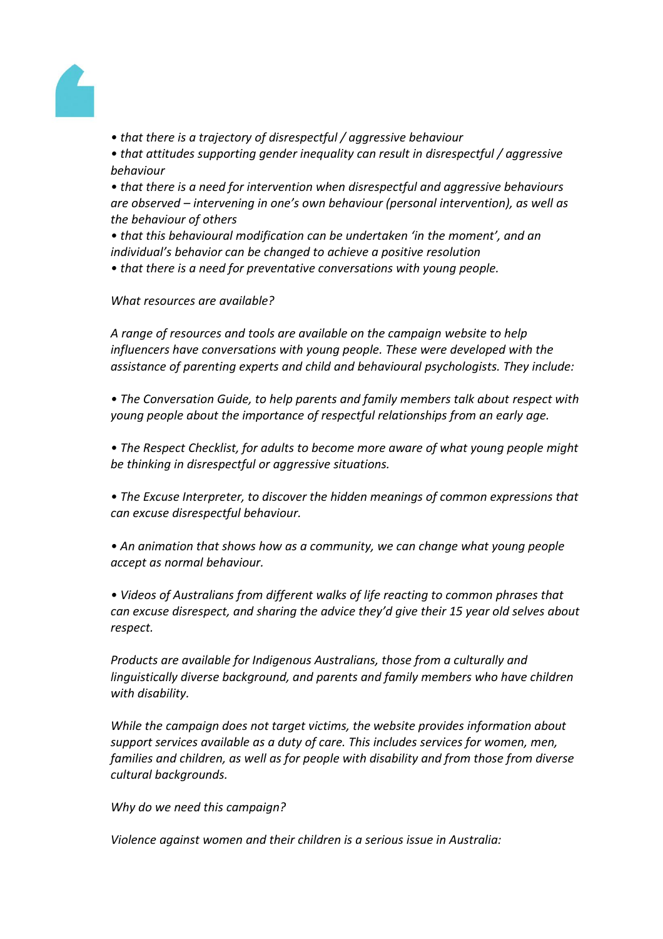

*• that there is a trajectory of disrespectful / aggressive behaviour*

*• that attitudes supporting gender inequality can result in disrespectful / aggressive behaviour*

*• that there is a need for intervention when disrespectful and aggressive behaviours are observed – intervening in one's own behaviour (personal intervention), as well as the behaviour of others*

*• that this behavioural modification can be undertaken 'in the moment', and an individual's behavior can be changed to achieve a positive resolution*

*• that there is a need for preventative conversations with young people.*

*What resources are available?*

*A range of resources and tools are available on the campaign website to help influencers have conversations with young people. These were developed with the assistance of parenting experts and child and behavioural psychologists. They include:*

• The Conversation Guide, to help parents and family members talk about respect with *young people about the importance of respectful relationships from an early age.*

*• The Respect Checklist, for adults to become more aware of what young people might be thinking in disrespectful or aggressive situations.*

*• The Excuse Interpreter, to discover the hidden meanings of common expressions that can excuse disrespectful behaviour.*

*• An animation that shows how as a community, we can change what young people accept as normal behaviour.*

*• Videos of Australians from different walks of life reacting to common phrases that can excuse disrespect, and sharing the advice they'd give their 15 year old selves about respect.*

*Products are available for Indigenous Australians, those from a culturally and linguistically diverse background, and parents and family members who have children with disability.*

*While the campaign does not target victims, the website provides information about support services available as a duty of care. This includes services for women, men, families and children, as well as for people with disability and from those from diverse cultural backgrounds.*

*Why do we need this campaign?*

*Violence against women and their children is a serious issue in Australia:*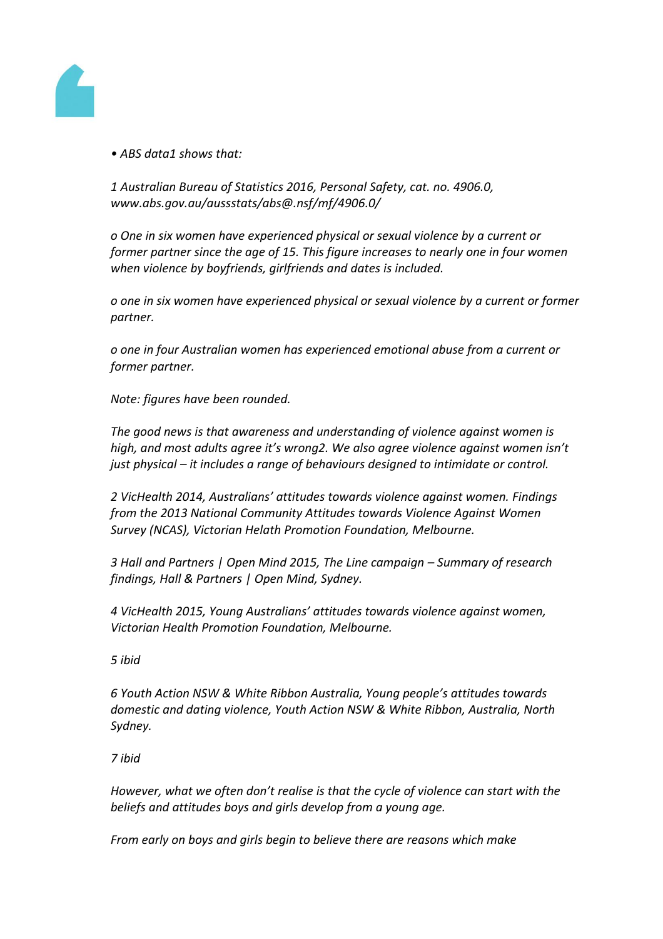

*• ABS data1 shows that:*

*1 Australian Bureau of Statistics 2016, Personal Safety, cat. no. 4906.0, www.abs.gov.au/aussstats/abs@.nsf/mf/4906.0/*

*o One in six women have experienced physical or sexual violence by a current or former partner since the age of 15. This figure increases to nearly one in four women when violence by boyfriends, girlfriends and dates is included.*

*o one in six women have experienced physical or sexual violence by a current or former partner.*

*o one in four Australian women has experienced emotional abuse from a current or former partner.*

*Note: figures have been rounded.*

*The good news is that awareness and understanding of violence against women is high, and most adults agree it's wrong2. We also agree violence against women isn't just physical – it includes a range of behaviours designed to intimidate or control.*

*2 VicHealth 2014, Australians' attitudes towards violence against women. Findings from the 2013 National Community Attitudes towards Violence Against Women Survey (NCAS), Victorian Helath Promotion Foundation, Melbourne.*

*3 Hall and Partners | Open Mind 2015, The Line campaign – Summary of research findings, Hall & Partners | Open Mind, Sydney.*

*4 VicHealth 2015, Young Australians' attitudes towards violence against women, Victorian Health Promotion Foundation, Melbourne.*

*5 ibid*

*6 Youth Action NSW & White Ribbon Australia, Young people's attitudes towards domestic and dating violence, Youth Action NSW & White Ribbon, Australia, North Sydney.*

*7 ibid*

*However, what we often don't realise is that the cycle of violence can start with the beliefs and attitudes boys and girls develop from a young age.*

*From early on boys and girls begin to believe there are reasons which make*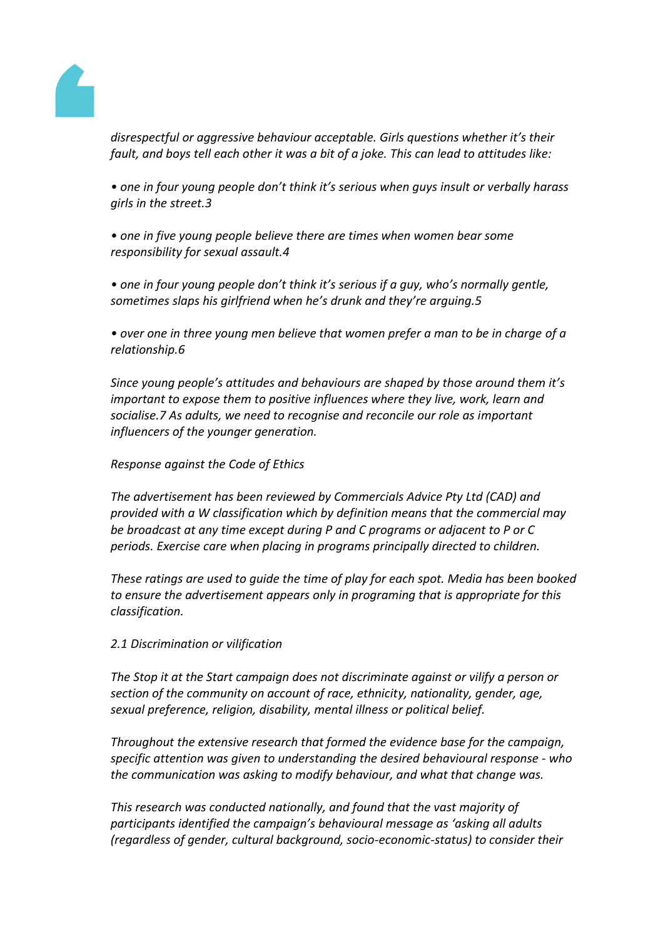

*disrespectful or aggressive behaviour acceptable. Girls questions whether it's their fault, and boys tell each other it was a bit of a joke. This can lead to attitudes like:*

*• one in four young people don't think it's serious when guys insult or verbally harass girls in the street.3*

*• one in five young people believe there are times when women bear some responsibility for sexual assault.4*

*• one in four young people don't think it's serious if a guy, who's normally gentle, sometimes slaps his girlfriend when he's drunk and they're arguing.5*

• over one in three young men believe that women prefer a man to be in charge of a *relationship.6*

*Since young people's attitudes and behaviours are shaped by those around them it's important to expose them to positive influences where they live, work, learn and socialise.7 As adults, we need to recognise and reconcile our role as important influencers of the younger generation.*

## *Response against the Code of Ethics*

*The advertisement has been reviewed by Commercials Advice Pty Ltd (CAD) and provided with a W classification which by definition means that the commercial may be broadcast at any time except during P and C programs or adjacent to P or C periods. Exercise care when placing in programs principally directed to children.*

*These ratings are used to guide the time of play for each spot. Media has been booked to ensure the advertisement appears only in programing that is appropriate for this classification.*

*2.1 Discrimination or vilification*

*The Stop it at the Start campaign does not discriminate against or vilify a person or section of the community on account of race, ethnicity, nationality, gender, age, sexual preference, religion, disability, mental illness or political belief.*

*Throughout the extensive research that formed the evidence base for the campaign, specific attention was given to understanding the desired behavioural response - who the communication was asking to modify behaviour, and what that change was.*

*This research was conducted nationally, and found that the vast majority of participants identified the campaign's behavioural message as 'asking all adults (regardless of gender, cultural background, socio-economic-status) to consider their*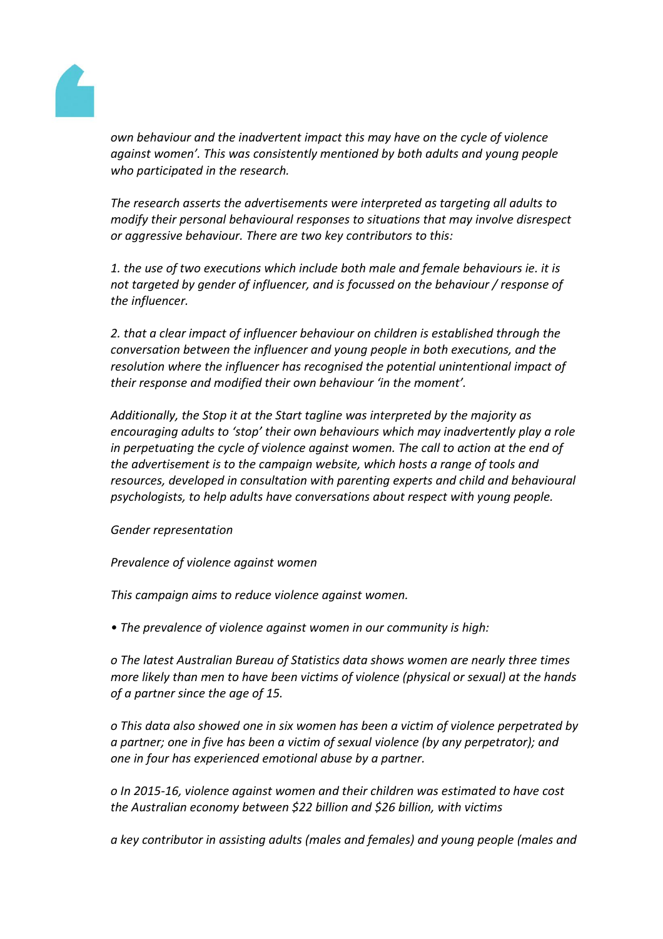

*own behaviour and the inadvertent impact this may have on the cycle of violence against women'. This was consistently mentioned by both adults and young people who participated in the research.*

*The research asserts the advertisements were interpreted as targeting all adults to modify their personal behavioural responses to situations that may involve disrespect or aggressive behaviour. There are two key contributors to this:*

*1. the use of two executions which include both male and female behaviours ie. it is not targeted by gender of influencer, and is focussed on the behaviour / response of the influencer.*

*2. that a clear impact of influencer behaviour on children is established through the conversation between the influencer and young people in both executions, and the resolution where the influencer has recognised the potential unintentional impact of their response and modified their own behaviour 'in the moment'.*

*Additionally, the Stop it at the Start tagline was interpreted by the majority as encouraging adults to 'stop' their own behaviours which may inadvertently play a role*  in perpetuating the cycle of violence against women. The call to action at the end of *the advertisement is to the campaign website, which hosts a range of tools and resources, developed in consultation with parenting experts and child and behavioural psychologists, to help adults have conversations about respect with young people.*

### *Gender representation*

*Prevalence of violence against women*

*This campaign aims to reduce violence against women.*

*• The prevalence of violence against women in our community is high:*

*o The latest Australian Bureau of Statistics data shows women are nearly three times more likely than men to have been victims of violence (physical or sexual) at the hands of a partner since the age of 15.*

*o This data also showed one in six women has been a victim of violence perpetrated by a partner; one in five has been a victim of sexual violence (by any perpetrator); and one in four has experienced emotional abuse by a partner.*

*o In 2015-16, violence against women and their children was estimated to have cost the Australian economy between \$22 billion and \$26 billion, with victims*

*a key contributor in assisting adults (males and females) and young people (males and*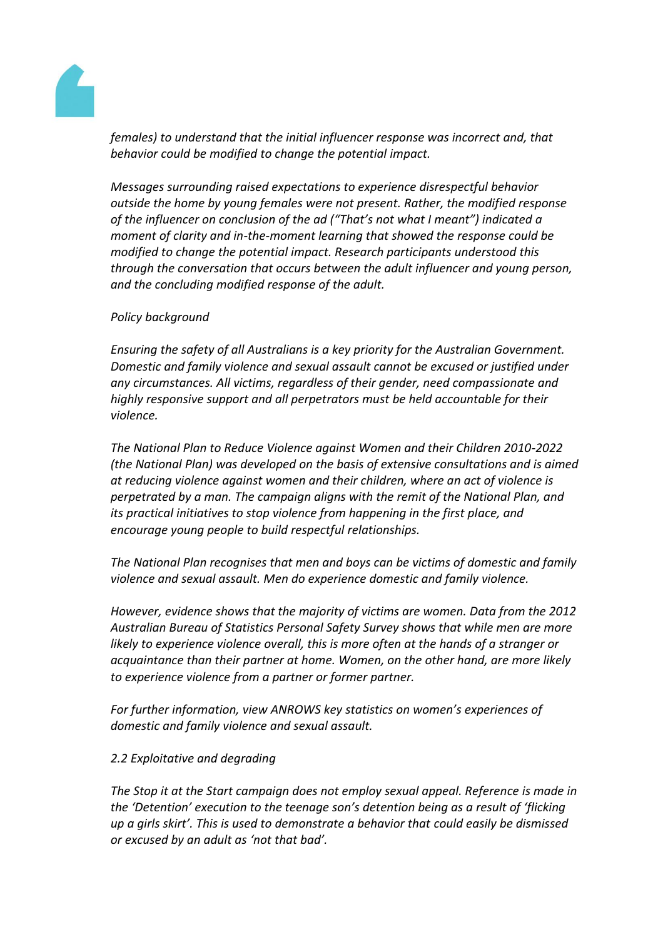

*females) to understand that the initial influencer response was incorrect and, that behavior could be modified to change the potential impact.*

*Messages surrounding raised expectations to experience disrespectful behavior outside the home by young females were not present. Rather, the modified response of the influencer on conclusion of the ad ("That's not what I meant") indicated a moment of clarity and in-the-moment learning that showed the response could be modified to change the potential impact. Research participants understood this through the conversation that occurs between the adult influencer and young person, and the concluding modified response of the adult.*

## *Policy background*

*Ensuring the safety of all Australians is a key priority for the Australian Government. Domestic and family violence and sexual assault cannot be excused or justified under any circumstances. All victims, regardless of their gender, need compassionate and highly responsive support and all perpetrators must be held accountable for their violence.*

*The National Plan to Reduce Violence against Women and their Children 2010-2022 (the National Plan) was developed on the basis of extensive consultations and is aimed at reducing violence against women and their children, where an act of violence is perpetrated by a man. The campaign aligns with the remit of the National Plan, and its practical initiatives to stop violence from happening in the first place, and encourage young people to build respectful relationships.*

*The National Plan recognises that men and boys can be victims of domestic and family violence and sexual assault. Men do experience domestic and family violence.*

*However, evidence shows that the majority of victims are women. Data from the 2012 Australian Bureau of Statistics Personal Safety Survey shows that while men are more likely to experience violence overall, this is more often at the hands of a stranger or acquaintance than their partner at home. Women, on the other hand, are more likely to experience violence from a partner or former partner.*

*For further information, view ANROWS key statistics on women's experiences of domestic and family violence and sexual assault.*

### *2.2 Exploitative and degrading*

*The Stop it at the Start campaign does not employ sexual appeal. Reference is made in the 'Detention' execution to the teenage son's detention being as a result of 'flicking up a girls skirt'. This is used to demonstrate a behavior that could easily be dismissed or excused by an adult as 'not that bad'.*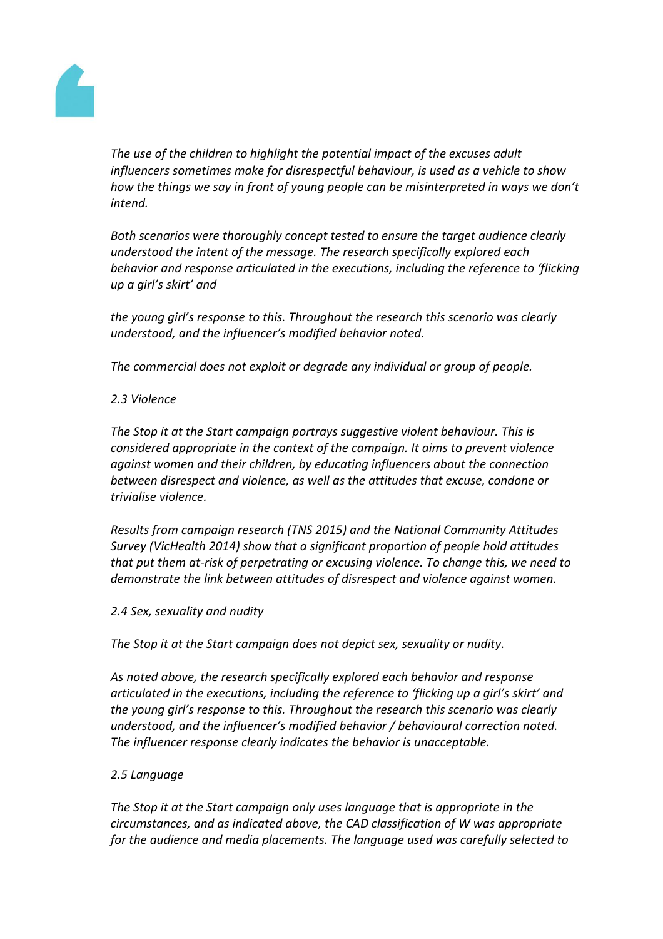

*The use of the children to highlight the potential impact of the excuses adult influencers sometimes make for disrespectful behaviour, is used as a vehicle to show how the things we say in front of young people can be misinterpreted in ways we don't intend.*

*Both scenarios were thoroughly concept tested to ensure the target audience clearly understood the intent of the message. The research specifically explored each behavior and response articulated in the executions, including the reference to 'flicking up a girl's skirt' and*

*the young girl's response to this. Throughout the research this scenario was clearly understood, and the influencer's modified behavior noted.*

*The commercial does not exploit or degrade any individual or group of people.*

## *2.3 Violence*

*The Stop it at the Start campaign portrays suggestive violent behaviour. This is considered appropriate in the context of the campaign. It aims to prevent violence against women and their children, by educating influencers about the connection between disrespect and violence, as well as the attitudes that excuse, condone or trivialise violence.*

*Results from campaign research (TNS 2015) and the National Community Attitudes Survey (VicHealth 2014) show that a significant proportion of people hold attitudes that put them at-risk of perpetrating or excusing violence. To change this, we need to demonstrate the link between attitudes of disrespect and violence against women.*

### *2.4 Sex, sexuality and nudity*

*The Stop it at the Start campaign does not depict sex, sexuality or nudity.*

*As noted above, the research specifically explored each behavior and response articulated in the executions, including the reference to 'flicking up a girl's skirt' and the young girl's response to this. Throughout the research this scenario was clearly understood, and the influencer's modified behavior / behavioural correction noted. The influencer response clearly indicates the behavior is unacceptable.*

# *2.5 Language*

*The Stop it at the Start campaign only uses language that is appropriate in the circumstances, and as indicated above, the CAD classification of W was appropriate for the audience and media placements. The language used was carefully selected to*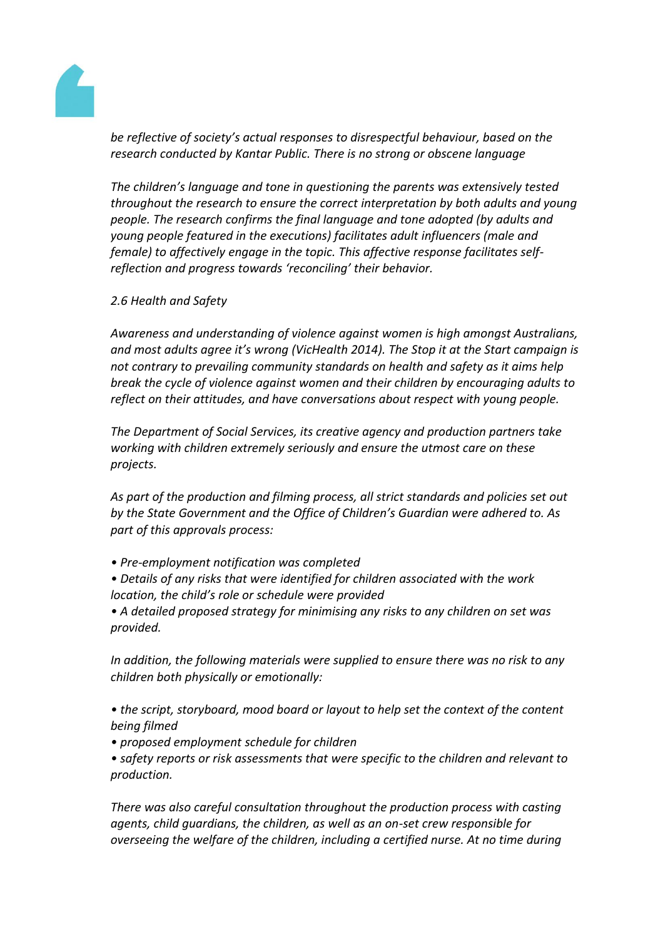

*be reflective of society's actual responses to disrespectful behaviour, based on the research conducted by Kantar Public. There is no strong or obscene language*

*The children's language and tone in questioning the parents was extensively tested throughout the research to ensure the correct interpretation by both adults and young people. The research confirms the final language and tone adopted (by adults and young people featured in the executions) facilitates adult influencers (male and female) to affectively engage in the topic. This affective response facilitates selfreflection and progress towards 'reconciling' their behavior.*

### *2.6 Health and Safety*

*Awareness and understanding of violence against women is high amongst Australians, and most adults agree it's wrong (VicHealth 2014). The Stop it at the Start campaign is not contrary to prevailing community standards on health and safety as it aims help break the cycle of violence against women and their children by encouraging adults to reflect on their attitudes, and have conversations about respect with young people.*

*The Department of Social Services, its creative agency and production partners take working with children extremely seriously and ensure the utmost care on these projects.*

*As part of the production and filming process, all strict standards and policies set out by the State Government and the Office of Children's Guardian were adhered to. As part of this approvals process:*

- *Pre-employment notification was completed*
- *Details of any risks that were identified for children associated with the work location, the child's role or schedule were provided*

*• A detailed proposed strategy for minimising any risks to any children on set was provided.*

*In addition, the following materials were supplied to ensure there was no risk to any children both physically or emotionally:*

*• the script, storyboard, mood board or layout to help set the context of the content being filmed*

*• proposed employment schedule for children*

*• safety reports or risk assessments that were specific to the children and relevant to production.*

*There was also careful consultation throughout the production process with casting agents, child guardians, the children, as well as an on-set crew responsible for overseeing the welfare of the children, including a certified nurse. At no time during*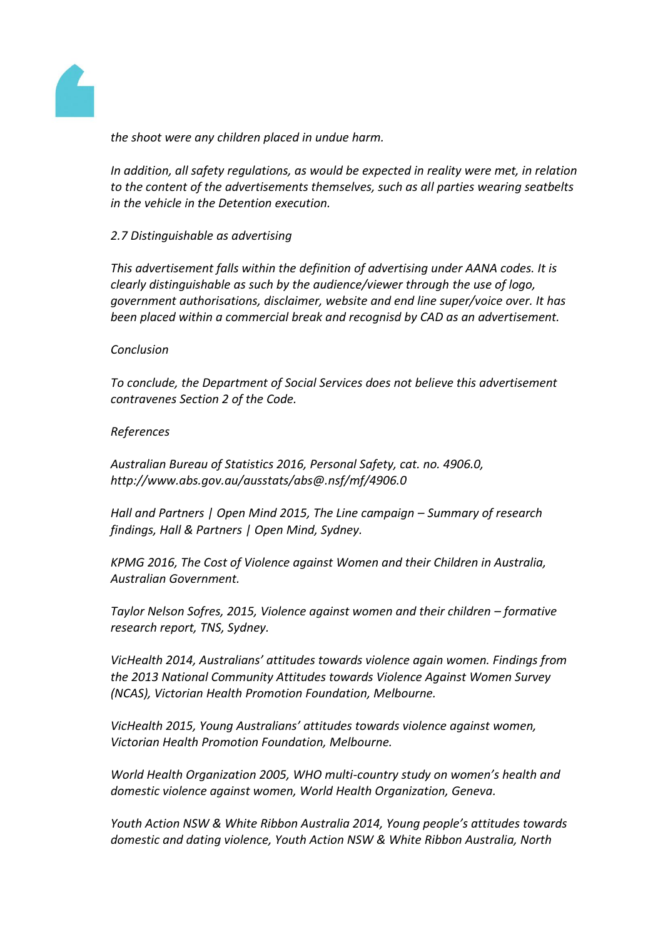

*the shoot were any children placed in undue harm.*

*In addition, all safety regulations, as would be expected in reality were met, in relation to the content of the advertisements themselves, such as all parties wearing seatbelts in the vehicle in the Detention execution.*

*2.7 Distinguishable as advertising*

*This advertisement falls within the definition of advertising under AANA codes. It is clearly distinguishable as such by the audience/viewer through the use of logo, government authorisations, disclaimer, website and end line super/voice over. It has been placed within a commercial break and recognisd by CAD as an advertisement.*

#### *Conclusion*

*To conclude, the Department of Social Services does not believe this advertisement contravenes Section 2 of the Code.*

#### *References*

*Australian Bureau of Statistics 2016, Personal Safety, cat. no. 4906.0, http://www.abs.gov.au/ausstats/abs@.nsf/mf/4906.0*

*Hall and Partners | Open Mind 2015, The Line campaign – Summary of research findings, Hall & Partners | Open Mind, Sydney.*

*KPMG 2016, The Cost of Violence against Women and their Children in Australia, Australian Government.*

*Taylor Nelson Sofres, 2015, Violence against women and their children – formative research report, TNS, Sydney.*

*VicHealth 2014, Australians' attitudes towards violence again women. Findings from the 2013 National Community Attitudes towards Violence Against Women Survey (NCAS), Victorian Health Promotion Foundation, Melbourne.*

*VicHealth 2015, Young Australians' attitudes towards violence against women, Victorian Health Promotion Foundation, Melbourne.*

*World Health Organization 2005, WHO multi-country study on women's health and domestic violence against women, World Health Organization, Geneva.*

*Youth Action NSW & White Ribbon Australia 2014, Young people's attitudes towards domestic and dating violence, Youth Action NSW & White Ribbon Australia, North*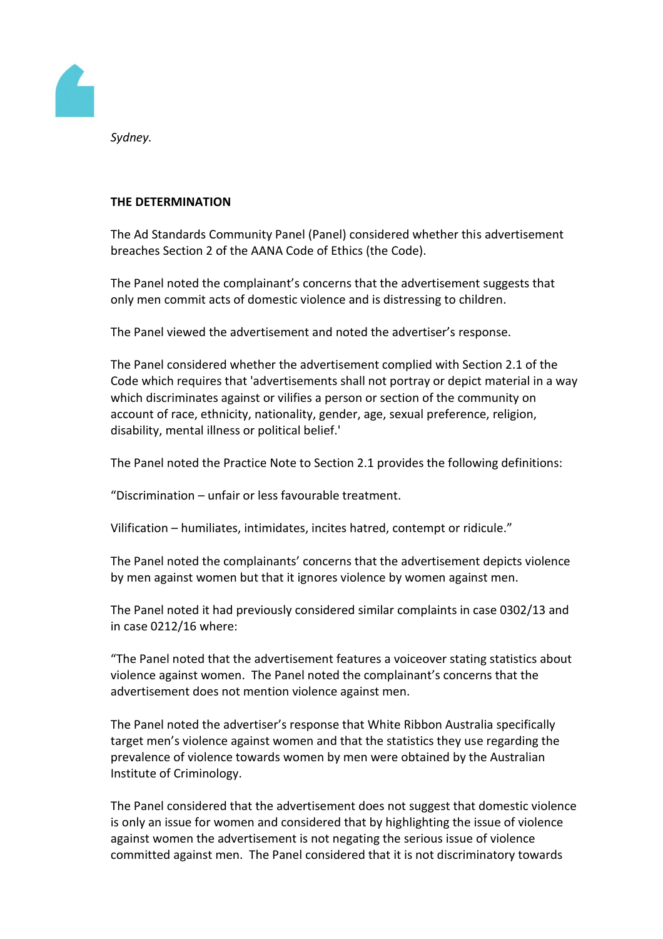

*Sydney.*

## **THE DETERMINATION**

The Ad Standards Community Panel (Panel) considered whether this advertisement breaches Section 2 of the AANA Code of Ethics (the Code).

The Panel noted the complainant's concerns that the advertisement suggests that only men commit acts of domestic violence and is distressing to children.

The Panel viewed the advertisement and noted the advertiser's response.

The Panel considered whether the advertisement complied with Section 2.1 of the Code which requires that 'advertisements shall not portray or depict material in a way which discriminates against or vilifies a person or section of the community on account of race, ethnicity, nationality, gender, age, sexual preference, religion, disability, mental illness or political belief.'

The Panel noted the Practice Note to Section 2.1 provides the following definitions:

"Discrimination – unfair or less favourable treatment.

Vilification – humiliates, intimidates, incites hatred, contempt or ridicule."

The Panel noted the complainants' concerns that the advertisement depicts violence by men against women but that it ignores violence by women against men.

The Panel noted it had previously considered similar complaints in case 0302/13 and in case 0212/16 where:

"The Panel noted that the advertisement features a voiceover stating statistics about violence against women. The Panel noted the complainant's concerns that the advertisement does not mention violence against men.

The Panel noted the advertiser's response that White Ribbon Australia specifically target men's violence against women and that the statistics they use regarding the prevalence of violence towards women by men were obtained by the Australian Institute of Criminology.

The Panel considered that the advertisement does not suggest that domestic violence is only an issue for women and considered that by highlighting the issue of violence against women the advertisement is not negating the serious issue of violence committed against men. The Panel considered that it is not discriminatory towards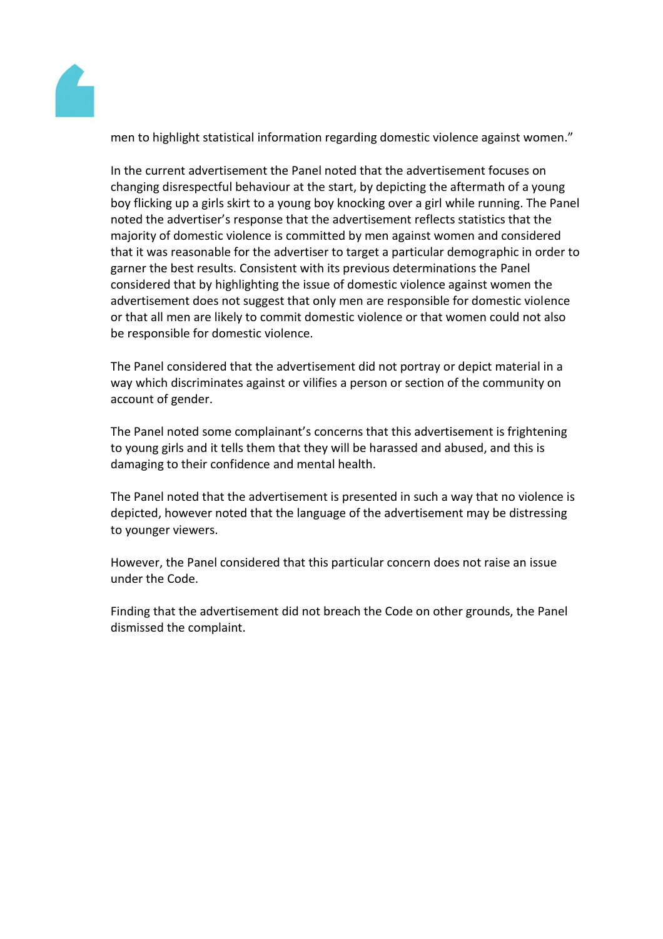

men to highlight statistical information regarding domestic violence against women."

In the current advertisement the Panel noted that the advertisement focuses on changing disrespectful behaviour at the start, by depicting the aftermath of a young boy flicking up a girls skirt to a young boy knocking over a girl while running. The Panel noted the advertiser's response that the advertisement reflects statistics that the majority of domestic violence is committed by men against women and considered that it was reasonable for the advertiser to target a particular demographic in order to garner the best results. Consistent with its previous determinations the Panel considered that by highlighting the issue of domestic violence against women the advertisement does not suggest that only men are responsible for domestic violence or that all men are likely to commit domestic violence or that women could not also be responsible for domestic violence.

The Panel considered that the advertisement did not portray or depict material in a way which discriminates against or vilifies a person or section of the community on account of gender.

The Panel noted some complainant's concerns that this advertisement is frightening to young girls and it tells them that they will be harassed and abused, and this is damaging to their confidence and mental health.

The Panel noted that the advertisement is presented in such a way that no violence is depicted, however noted that the language of the advertisement may be distressing to younger viewers.

However, the Panel considered that this particular concern does not raise an issue under the Code.

Finding that the advertisement did not breach the Code on other grounds, the Panel dismissed the complaint.